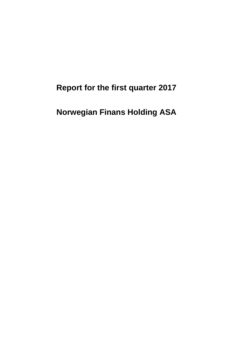**Report for the first quarter 2017**

**Norwegian Finans Holding ASA**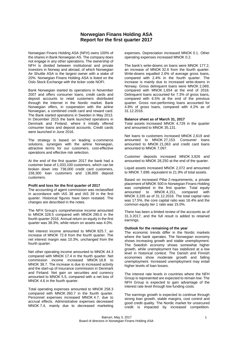## **Norwegian Finans Holding ASA Report for the first quarter 2017**

Norwegian Finans Holding ASA (NFH) owns 100% of the shares in Bank Norwegian AS. The company does not engage in any other operations. The ownership of NFH is divided between institutional and private investors in Norway and abroad, of which Norwegian Air Shuttle ASA is the largest owner with a stake of 20%. Norwegian Finans Holding ASA is listed on the Oslo Stock Exchange with the ticker code NOFI.

Bank Norwegian started its operations in November 2007 and offers consumer loans, credit cards and deposit accounts to retail customers distributed through the Internet in the Nordic market. Bank Norwegian offers, in cooperation with the airline Norwegian, a combined credit card and reward card. The Bank started operations in Sweden in May 2013. In December 2015 the bank launched operations in Denmark and Finland, where it initially offered consumer loans and deposit accounts. Credit cards were launched in June 2016.

The strategy is based on leading e-commerce solutions, synergies with the airline Norwegian, attractive terms for our customers, cost-effective operations and effective risk selection.

At the end of the first quarter 2017 the bank had a customer base of 1,033,100 customers, which can be broken down into 738,000 credit card customers, 158,300 loan customers and 136,800 deposit customers.

#### **Profit and loss for the first quarter of 2017**

The accounting of agent commission was reclassified in accordance with IAS 38 and IAS 39 in the first quarter. Historical figures have been restated. The changes are described in the notes.

The NFH Group's comprehensive income amounted to MNOK 328.5 compared with MNOK 290.0 in the fourth quarter 2016. Annual return on equity in the first quarter was 38.3%, while return on assets was 4.0%.

Net interest income amounted to MNOK 825.7, an increase of MNOK 72.8 from the fourth quarter. The net interest margin was 10.3%, unchanged from the fourth quarter.

Net other operating income amounted to MNOK 44.3 compared with MNOK 17.4 in the fourth quarter. Net commission income increased MNOK 16.8 to MNOK 38.7. The increase is due to increased activity and the start-up of insurance commission in Denmark and Finland. Net gain on securities and currency amounted to MNOK 5.5, compared with a net loss of MNOK 4.6 in the fourth quarter.

Total operating expenses amounted to MNOK 258.3 compared with MNOK 260.7 in the fourth quarter. Personnel expenses increased MNOK 4.7, due to accrual effects. Administrative expenses decreased MNOK 7.4, mainly due to decreased marketing expenses. Depreciation increased MNOK 0.1. Other operating expenses increased MNOK 0.2.

The bank's write-downs on loans were MNOK 177.2, an increase of MNOK 32.6 from the fourth quarter. Write-downs equalled 2.6% of average gross loans, compared with 2.4% in the fourth quarter. The increase is mainly due to increased write-downs in Norway. Gross delinquent loans were MNOK 2,069, compared with MNOK 1,654 at the end of 2016. Delinquent loans accounted for 7.3% of gross loans, compared with 6.5% at the end of the previous quarter. Gross non-performing loans accounted for 4.8% of gross loans, compared with 4.2% as of 31.12.2016.

#### **Balance sheet as of March 31, 2017**

Total assets increased MNOK 4,729 in the quarter and amounted to MNOK 35,131.

Net loans to customers increased MNOK 2,619 and amounted to MNOK 27,153. Consumer loans amounted to MNOK 21,063 and credit card loans amounted to MNOK 7,097.

Customer deposits increased MNOK 3,826 and amounted to MNOK 28,250 at the end of the quarter.

Liquid assets increased MNOK 2,072 and amounted to MNOK 7,699, equivalent to 21.9% of total assets.

Based on increased Pillar 2-requirements, a private placement of MNOK 500 in Norwegian Finans Holding was completed in the first quarter. Total equity<br>amounted to MNOK 4.151, compared with  $MNOK 4,151$ , compared MNOK 3,335 as of 31.12.2016. The total capital ratio was 17.5%, the core capital ratio was 16.4% and the common equity tier 1 ratio was 15.0%.

There has been a limited review of the accounts as of 31.3.2017, and the full result is added to retained earnings.

#### **Outlook for the remaining of the year**

The economic trends differ in the Nordic markets where the bank operates. The Norwegian economy shows increasing growth and stable unemployment. The Swedish economy shows somewhat higher growth, while unemployment has stabilized at a low level in historical context. The Danish and Finnish economies show moderate growth and falling unemployment. Increased unemployment may entail higher levels of loan losses.

The interest rate levels in countries where the NFH Group is represented are expected to remain low. The NFH Group is expected to gain advantage of the interest rate level through low funding costs.

The earnings growth is expected to continue through strong loan growth, stable margins, cost control and good credit quality. The Nordic market for unsecured credit is impacted by increased competition.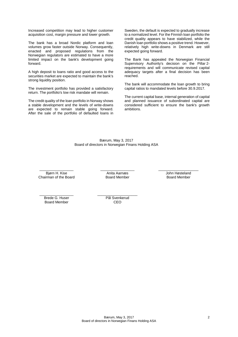Increased competition may lead to higher customer acquisition cost, margin pressure and lower growth.

The bank has a broad Nordic platform and loan volumes grow faster outside Norway. Consequently, enacted and proposed regulations from the Norwegian regulators are estimated to have a more limited impact on the bank's development going forward.

A high deposit to loans ratio and good access to the securities market are expected to maintain the bank's strong liquidity position.

The investment portfolio has provided a satisfactory return. The portfolio's low risk mandate will remain.

The credit quality of the loan portfolio in Norway shows a stable development and the levels of write-downs are expected to remain stable going forward. After the sale of the portfolio of defaulted loans in Sweden, the default is expected to gradually increase to a normalized level. For the Finnish loan portfolio the credit quality appears to have stabilized, while the Danish loan portfolio shows a positive trend. However, relatively high write-downs in Denmark are still expected going forward.

The Bank has appealed the Norwegian Financial Supervisory Authority's decision on the Pillar 2 requirements and will communicate revised capital adequacy targets after a final decision has been reached.

The bank will accommodate the loan growth to bring capital ratios to mandated levels before 30.9.2017.

The current capital base, internal generation of capital and planned issuance of subordinated capital are considered sufficient to ensure the bank's growth ambitions.

Bærum, May 3, 2017 Board of directors in Norwegian Finans Holding ASA

\_\_\_\_\_\_\_\_\_\_\_\_\_\_\_\_\_ Bjørn H. Kise Chairman of the Board  $\overline{\phantom{a}}$  , which is a set of the set of the set of the set of the set of the set of the set of the set of the set of the set of the set of the set of the set of the set of the set of the set of the set of the set of th Anita Aarnæs Board Member

\_\_\_\_\_\_\_\_\_\_\_\_\_\_\_\_\_\_\_\_ John Høsteland Board Member

\_\_\_\_\_\_\_\_\_\_\_\_\_\_\_\_\_ Brede G. Huser Board Member

\_\_\_\_\_\_\_\_\_\_\_\_\_\_\_\_\_\_\_\_ Pål Svenkerud CEO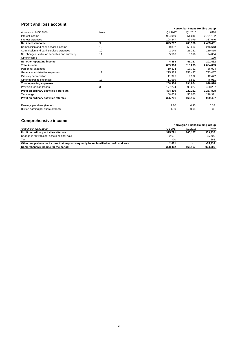# **Profit and loss account**

|                                                |      |         | <b>Norwegian Finans Holding Group</b> |           |
|------------------------------------------------|------|---------|---------------------------------------|-----------|
| Amounts in NOK 1000                            | Note | Q1 2017 | Q1 2016                               | 2016      |
| Interest income                                |      | 934,049 | 551,046                               | 2,791,102 |
| Interest expenses                              |      | 108,347 | 82,079                                | 337,640   |
| Net interest income                            | 9    | 825,702 | 468,966                               | 2,453,461 |
| Commission and bank services income            | 10   | 80,892  | 55,602                                | 246,613   |
| Commission and bank services expenses          | 10   | 42,149  | 21,282                                | 119,415   |
| Net change in value on securities and currency | 11   | 5,516   | 6,916                                 | 74,064    |
| Other income                                   |      |         |                                       | 170       |
| Net other operating income                     |      | 44,258  | 41,237                                | 201,432   |
| <b>Total income</b>                            |      | 869,960 | 510,203                               | 2,654,893 |
| Personnel expenses                             |      | 19,394  | 17,751                                | 66,004    |
| General administrative expenses                | 12   | 215,979 | 158,437                               | 773,487   |
| Ordinary depreciation                          |      | 11,375  | 9,902                                 | 42,427    |
| Other operating expenses                       | 13   | 11,589  | 8,863                                 | 46,911    |
| <b>Total operating expenses</b>                |      | 258,336 | 194,954                               | 928,828   |
| Provision for loan losses                      | 3    | 177,224 | 95,027                                | 468,257   |
| Profit on ordinary activities before tax       |      | 434,400 | 220,222                               | 1,257,808 |
| Tax charge                                     |      | 108,609 | 55,055                                | 298,371   |
| Profit on ordinary activities after tax        |      | 325,791 | 165,167                               | 959,437   |
| Earnings per share (kroner)                    |      | 1.80    | 0.95                                  | 5.38      |
| Diluted earning per share (kroner)             |      | 1.80    | 0.95                                  | 5.38      |

# **Comprehensive income**

|                                                                                     |         | Norwegian Finans Holding Group |           |
|-------------------------------------------------------------------------------------|---------|--------------------------------|-----------|
| Amounts in NOK 1000                                                                 | Q1 2017 | Q1 2016                        | 2016      |
| Profit on ordinary activities after tax                                             | 325.791 | 165.167                        | 959,437   |
| Change in fair value for assets held for sale                                       | 2,691   |                                | -35,700   |
| Tax                                                                                 | -20     |                                | 268       |
| Other comprehensive income that may subsequently be reclassified to profit and loss | 2.671   |                                | $-35.433$ |
| Comprehensive income for the period                                                 | 328.462 | 165.167                        | 924.005   |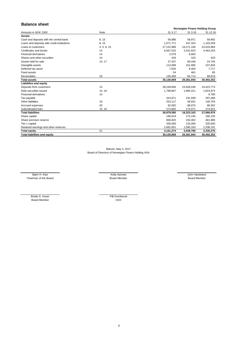# **Balance sheet**

|                                             |             |            | Norwegian Finans Holding Group |            |
|---------------------------------------------|-------------|------------|--------------------------------|------------|
| Amounts in NOK 1000                         | <b>Note</b> | 31.3.17    | 31.3.16                        | 31.12.16   |
| <b>Assets</b>                               |             |            |                                |            |
| Cash and deposits with the central bank     | 8, 15       | 59,986     | 58,971                         | 59,992     |
| Loans and deposits with credit institutions | 8, 15       | 1,071,771  | 437,324                        | 1,103,359  |
| Loans to customers                          | 4, 5, 6, 15 | 27,152,968 | 16,271,190                     | 24,533,983 |
| Certificates and bonds                      | 14          | 6,567,532  | 3,331,623                      | 4,464,203  |
| <b>Financial derivatives</b>                | 14          | 2,578      | 6,683                          |            |
| Shares and other securities                 | 14          | 443        | 443                            | 443        |
| Assets held for sale                        | 14, 17      | 27,437     | 60,446                         | 24,745     |
| Intangible assets                           |             | 113,698    | 101,685                        | 107,826    |
| Deferred tax asset                          |             | 7,925      | 8,404                          | 7,717      |
| <b>Fixed assets</b>                         |             | 54         | 461                            | 65         |
| Receivables                                 | 18          | 126,469    | 84,714                         | 99,919     |
| <b>Total assets</b>                         |             | 35,130,859 | 20,361,943                     | 30,402,252 |
| <b>Liabilities and equity</b>               |             |            |                                |            |
| Deposits from customers                     | 15          | 28,249,846 | 15,928,036                     | 24,423,773 |
| Debt securities issued                      | 15, 16      | 1,798,667  | 1,880,311                      | 1,823,973  |
| <b>Financial derivatives</b>                | 14          |            |                                | 6,780      |
| Tax payable                                 |             | 310,971    | 191,939                        | 297,468    |
| Other liabilities                           | 19          | 253,117    | 58,931                         | 140,764    |
| Accrued expenses                            | 20          | 92,092     | 88,975                         | 99,302     |
| Subordinated loan                           | 15, 16      | 274,892    | 174,971                        | 274,915    |
| <b>Total liabilities</b>                    |             | 30,979,585 | 18,323,163                     | 27,066,976 |
| Share capital                               |             | 186,619    | 173,195                        | 180,105    |
| Share premium reserve                       |             | 966,825    | 150,402                        | 481,980    |
| Tier 1 capital                              |             | 335,000    | 125,000                        | 335,000    |
| Retained earnings and other reserves        |             | 2,662,831  | 1,590,183                      | 2,338,191  |
| <b>Total equity</b>                         | 21          | 4,151,274  | 2,038,780                      | 3,335,276  |
| <b>Total liabilities and equity</b>         |             | 35,130,859 | 20,361,943                     | 30,402,252 |

Bærum, May 3, 2017 Board of Directors of Norwegian Finans Holding ASA

Chairman of the Board **Board Chairman of the Board Chairman** of the Board Member Board Member Board Member Bjørn H. Kise and de blev at de state Anita Aarnæs John Høsteland (state animalistic Anita Aarnæs John Høsteland

Board Member CEO Brede G. Huser Pål Svenkerud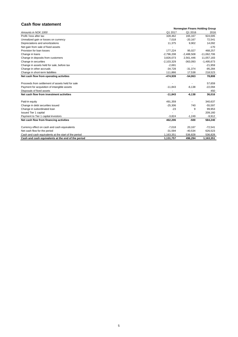# **Cash flow statement**

|                                                      | <b>Norwegian Finans Holding Group</b> |              |               |  |  |
|------------------------------------------------------|---------------------------------------|--------------|---------------|--|--|
| Amounts in NOK 1000                                  | Q1 2017                               | Q1 2016      | 2016          |  |  |
| Profit / loss after tax                              | 328,462                               | 165,167      | 924,005       |  |  |
| Unrealized gain or losses on currency                | 7,018                                 | $-20,167$    | 72,541        |  |  |
| Depreciations and amortizations                      | 11,375                                | 9,902        | 14,092        |  |  |
| Net gain from sale of fixed assets                   |                                       |              | $-170$        |  |  |
| Provision for loan losses                            | 177,224                               | 95,027       | 468,257       |  |  |
| Change in loans                                      | $-2,796,208$                          | $-2,488,508$ | $-11,062,706$ |  |  |
| Change in deposits from customers                    | 3,826,073                             | 2,561,446    | 11,057,183    |  |  |
| Change in securities                                 | $-2,103,329$                          | $-363,093$   | $-1,495,673$  |  |  |
| Change in assets held for sale, before tax           | $-2,691$                              |              | $-21,959$     |  |  |
| Change in other accruals                             | $-34,728$                             | $-31,374$    | $-95,284$     |  |  |
| Change in short-term liabilities                     | 111,866                               | 17,538       | 218,523       |  |  |
| Net cash flow from operating activities              | -474,939                              | $-54,063$    | 78,808        |  |  |
| Proceeds from settlement of assets held for sale     |                                       |              | 57,659        |  |  |
| Payment for acquisition of intangible assets         | $-11,843$                             | $-6,138$     | $-22,094$     |  |  |
| Disposals of fixed assets                            |                                       |              | 450           |  |  |
| Net cash flow from investment activities             | $-11,843$                             | $-6,138$     | 36,016        |  |  |
| Paid-in equity                                       | 491,359                               |              | 340,637       |  |  |
| Change in debt securities issued                     | $-25,306$                             | 740          | $-55,597$     |  |  |
| Change in subordinated loan                          | $-23$                                 | 9            | 99,953        |  |  |
| <b>Issued Tier 1 capital</b>                         |                                       |              | 209,160       |  |  |
| Payment to Tier 1 capital investors                  | $-3,824$                              | $-1,249$     | $-9,912$      |  |  |
| Net cash flow from financing activities              | 462,206                               | $-500$       | 584,240       |  |  |
| Currency effect on cash and cash equivalents         | $-7,018$                              | 20,167       | $-72,541$     |  |  |
| Net cash flow for the period                         | $-31,594$                             | $-40,534$    | 626,523       |  |  |
| Cash and cash equivalents at the start of the period | 1,163,351                             | 536,828      | 536,828       |  |  |
| Cash and cash equivalents at the end of the period   | 1,131,757                             | 496,294      | 1,163,351     |  |  |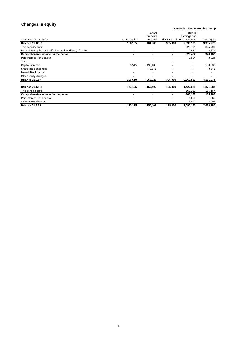## **Changes in equity**

#### *Amounts in NOK 1000* **Balance 31.12.16**<br> **Balance 31.12.16**<br>
This period's profit **180,105**<br> **Balance 31.12.16**<br> **Balance 31.12.16**<br> **Balance 31.12.16**<br> **Balance 31.12.16**<br> **Balance 31.12.16**<br> **Balance 31.12.16**<br> **Balance 31.12.16** This period's profit 325,791 Items that may be reclassified to profit and loss, after tax and the control of the control of the control of the control of the control of the control of the control of the control of the control of the control of the con **Comprehensive income for the period** and the series of the period of the period of the period of the series of the series of the series of the series of the series of the series of the series of the series of the series o Paid interest Tier 1 capital and the same state of the state of the state of the state of the state of the state of the state of the state of the state of the state of the state of the state of the state of the state of th Tax - - - - - Capital increase 6,515 493,485 - - 500,000 Share issue expenses expenses and the state of the state of the state of the state of the state of the state of the state of the state of the state of the state of the state of the state of the state of the state of the st Issued Tier 1 capital and the set of the set of the set of the set of the set of the set of the set of the set of the set of the set of the set of the set of the set of the set of the set of the set of the set of the set o Other equity changes<br> **Balance 31.3.17** Changes<br> **Balance 31.3.17** Changes 2.662,830 Changes 2.662,830 Changes 2.662,830 Changes 335,000 Changes 2.662,830 Changes 4,151,274 **Balance 31.3.17 186,619 966,825 335,000 2,662,830 4,151,274 Balance 31.12.15 173,195 150,402 125,000 1,422,685 1,871,282** This period's profit and the set of the set of the set of the set of the set of the set of the set of the set of the set of the set of the set of the set of the set of the set of the set of the set of the set of the set of **Comprehensive income for the period Comprehensive income for the period 165,167** Paid interest Tier 1 capital - - - -1,666 -1,666 Other equity changes 3,997 3,997 **Balance 31.3.16 173,195 150,402 125,000 1,590,183 2,038,780** Total equity Retained earnings and Tier 1 capital other reserves Share premium Share capital

#### **Norwegian Finans Holding Group**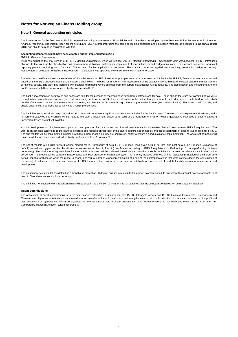### **Note 1. General accounting principles**

The interim report for the first quarter 2017 is prepared according to International Financial Reporting Standards as adopted by the European Union, hereunder *IAS 34 Interim* Financial Reporting. The interim report for the first quarter 2017 is prepared using the same accounting principles and calculation methods as described in the annual report 2016, and should be read in conjunction with this.

#### **Agent commissions**

### **Accounting standards which have been adopted but not implemented in 2016**

#### *IFRS 9 - Financial Instruments*

IASB has published the final version of IFRS 9 *Financial Instruments* , which will replace IAS 39 *Financial Instruments – Recognition and Measurement* . IFRS 9 introduces changes to the rules for the classification and measurement of financial instruments, impairment of financial assets and hedge accounting. The standard is effective for annual reporting periods beginning on 1 January 2018 or later. Earlier application is permitted. The standard must be applied retrospectively, except for hedge accounting. Restatement of comparative figures is not required. The standard was approved by the EU in the fourth quarter of 2016.

The bank has so far not drawn any conclusions as to what will constitute a significant increase in credit risk for the bank's loans. The bank's credit exposure is significant, and it is therefore expected that changes will be made to the bank's impairment losses as a result of the transition to IFRS 9. Reliable quantitative estimates of such changes in impairment losses are not yet available.

The rules for classification and measurement of financial assets in IFRS 9 are more principle-based than the rules in IAS 39. Under IFRS 9, financial assets are assessed based on the entity's business model and the asset's cash flows. The bank has made an initial assessment of the balance sheet with regard to classification and measurement of financial assets. The bank has identified two financial instruments where changes from the current classification will be required. The classification and measurement of the bank's financial liabilities are not affected by the transition to IFRS 9.

The bank's investments in certificates and bonds are held for the purpose of receiving cash flows from contracts and for sale. These should therefore be classified at fair value through other comprehensive income (with reclassification), while under IAS 39 they are classified at fair value through profit or loss. Furthermore, assets held for sale, which consist of the bank's ownership interest in Visa Norge FLI, are classified at fair value through other comprehensive income (with reclassification). This asset is held for sale, and should under IFRS 9 be classified at fair value through profit or loss.

The preliminary definition defines default as a loan that is more than 90 days in arrears in relation to the agreed payment schedule and where the amount overdue amounts to at least €100 or the equivalent in local currency.

A strict development and implementation plan has been prepared for the construction of impairment models for all markets that will need to meet IFRS 9 requirements. The work is on schedule according to the planned progress and includes an upgrade of the bank's existing set of models and the development of specific sub-models for IFRS 9. The sub-models will be implemented in parallel with the current models as they are completed, partly to ensure a good qualitative implementation. The whole set of models will run in parallel upon completion and will be finally implemented from 1 January 2018.

The set of models will include forward-looking models for PD (probability of default), LGD models (loss given default) for pre- and post-default, EAD models (exposure at default) as well as triggers for the classification of exposures in class 1, 2 or 3 (classification according to IFRS 9 regulations; 1: Performing, 2: Underperforming, 3: Nonperforming). The final modelling technique for the individual models will be selected based on the maturity of each portfolio and access to relevant data in the market concerned. The models will be validated in accordance with best practice for each model type. This normally includes both "out-of-time" validation (validation for a different time period than that or those on which the model is based) and "out-of-sample" validation (validation of a part of the data/observations that were not included in the construction of the model). In addition to the initial construction of IFRS 9 models, the bank is in the process of establishing a robust set of models for daily operation, maintenance and development.

The bank has not decided which transitional rules will be used in the transition to IFRS 9. It is not expected that the comparative figures will be restated on transition.

## **Notes for Norwegian Finans Holding group**

The accounting of agent commissions is in the first quarter reclassified in accordance with IAS 38 Intangible Assets and IAS 39 Financial Instruments - Recognition and Measurement. Agent commissions are reclassified from r*eceivables* to *loans to customers* and *intangible assets* , with reclassification of associated expenses in the profit and loss accounts from *general administrative expenses* to *interest income* and *ordinary depreciation* . The reclassifications do not have any effect on the profit after tax. Comparative figures have been revised accordingly.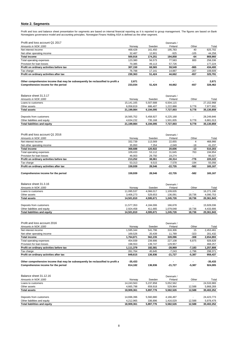## **Note 2. Segments**

Profit and loss and balance sheet presentation for segments are based on internal financial reporting as it is reported to group management. The figures are based on Bank Norwegians governance model and accounting principles. Norwegian Finans Holding ASA is defined as the other segment.

| Profit and loss account Q1 2017                                                                                                                                                             |                                                             |                                                           | Denmark /                                                                |                                     |                                                            |
|---------------------------------------------------------------------------------------------------------------------------------------------------------------------------------------------|-------------------------------------------------------------|-----------------------------------------------------------|--------------------------------------------------------------------------|-------------------------------------|------------------------------------------------------------|
| Amounts in NOK 1000                                                                                                                                                                         | Norway                                                      | Sweden                                                    | Finland                                                                  | Other                               | Total                                                      |
| Net interest income                                                                                                                                                                         | 468,428                                                     | 161,450                                                   | 195,783                                                                  | 40                                  | 825,702                                                    |
| Net other operating income                                                                                                                                                                  | 32,487                                                      | 12,801                                                    | $-925$                                                                   | $-105$                              | 44,258                                                     |
| <b>Total income</b>                                                                                                                                                                         | 500,916                                                     | 174,251                                                   | 194,858                                                                  | $-64$                               | 869,960                                                    |
| Total operating expenses                                                                                                                                                                    | 123,380                                                     | 56,573                                                    | 77,583                                                                   | 800                                 | 258,336                                                    |
| Provision for loan losses                                                                                                                                                                   | 70,385                                                      | 49,113                                                    | 57,726                                                                   |                                     | 177,224                                                    |
| Profit on ordinary activities before tax                                                                                                                                                    | 307,150                                                     | 68,565                                                    | 59,549                                                                   | $-865$                              | 434,400                                                    |
| Tax charge                                                                                                                                                                                  | 76,788                                                      | 17,141                                                    | 14,887                                                                   | $-207$                              | 108,609                                                    |
| Profit on ordinary activities after tax                                                                                                                                                     | 230,363                                                     | 51,424                                                    | 44,662                                                                   | -657                                | 325,791                                                    |
|                                                                                                                                                                                             |                                                             |                                                           |                                                                          |                                     |                                                            |
| Other comprehensive income that may be subsequently be reclassified to profit a                                                                                                             | 2,671                                                       |                                                           |                                                                          |                                     | 2,671                                                      |
| Comprehensive income for the period                                                                                                                                                         | 233,034                                                     | 51,424                                                    | 44,662                                                                   | $-657$                              | 328,462                                                    |
|                                                                                                                                                                                             |                                                             |                                                           |                                                                          |                                     |                                                            |
| Balance sheet 31.3.17                                                                                                                                                                       |                                                             |                                                           | Denmark /                                                                |                                     |                                                            |
| Amounts in NOK 1000                                                                                                                                                                         | Norway                                                      | Sweden                                                    | Finland                                                                  | Other                               | Total                                                      |
| Loans to customers                                                                                                                                                                          | 15, 141, 165                                                | 5,507,688                                                 | 6,504,115                                                                | $\blacksquare$                      | 27, 152, 968                                               |
| Other assets                                                                                                                                                                                | 6,058,819                                                   | 686,407                                                   | 1,222,888                                                                | 9,778                               | 7,977,892                                                  |
| <b>Total assets</b>                                                                                                                                                                         | 21,199,984                                                  | 6,194,095                                                 | 7,727,003                                                                | 9,778                               | 35,130,859                                                 |
|                                                                                                                                                                                             |                                                             |                                                           |                                                                          |                                     |                                                            |
| Deposits from customers                                                                                                                                                                     | 16,565,752                                                  | 5,458,927                                                 | 6,225,168                                                                |                                     | 28,249,846                                                 |
| Other liabilities and equity<br><b>Total liabilities and equity</b>                                                                                                                         | 4,634,232<br>21,199,984                                     | 735,168<br>6,194,095                                      | 1,501,835<br>7,727,003                                                   | 9,778<br>9,778                      | 6,881,013<br>35,130,859                                    |
| Profit and loss account Q1 2016<br>Amounts in NOK 1000<br>Net interest income<br>Net other operating income<br><b>Total income</b><br>Total operating expenses<br>Provision for loan losses | Norway<br>332,739<br>35,950<br>368,688<br>109,433<br>46,003 | Sweden<br>113,569<br>7,354<br>120,922<br>53,112<br>29,750 | Denmark /<br>Finland<br>22,655<br>$-2,049$<br>20,606<br>31,645<br>19,274 | Other<br>4<br>$-18$<br>$-13$<br>763 | Total<br>468,966<br>41,237<br>510,203<br>194,954<br>95,027 |
| Profit on ordinary activities before tax                                                                                                                                                    | 213,252                                                     | 38,061                                                    | $-30,314$                                                                | $-776$                              | 220,222                                                    |
| Tax charge                                                                                                                                                                                  | 53,313                                                      | 9,515                                                     | $-7,578$                                                                 | $-194$                              | 55,056                                                     |
| Profit on ordinary activities after tax                                                                                                                                                     | 159,939                                                     | 28,546                                                    | $-22,735$                                                                | $-582$                              | 165,167                                                    |
| Comprehensive income for the period                                                                                                                                                         | 159,939                                                     | 28,546                                                    | $-22,735$                                                                | $-582$                              | 165,167                                                    |
| Balance sheet 31.3.16                                                                                                                                                                       |                                                             |                                                           | Denmark /                                                                |                                     |                                                            |
| Amounts in NOK 1000                                                                                                                                                                         | Norway                                                      | Sweden                                                    | Finland                                                                  | Other                               | Total                                                      |
| Loans to customers                                                                                                                                                                          | 11,095,537                                                  | 4,066,017                                                 | 1,109,635                                                                |                                     | 16,271,190                                                 |
| Other assets                                                                                                                                                                                | 3,406,273                                                   | 529,653                                                   | 136,091                                                                  | 18,736                              | 4,090,753                                                  |
| <b>Total assets</b>                                                                                                                                                                         | 14,501,810                                                  | 4,595,671                                                 | 1,245,726                                                                | 18,736                              | 20,361,943                                                 |
|                                                                                                                                                                                             |                                                             |                                                           |                                                                          |                                     |                                                            |
| Deposits from customers                                                                                                                                                                     | 11,577,353                                                  | 4,184,006                                                 | 166,678                                                                  |                                     | 15,928,036                                                 |
| Other liabilities and equity                                                                                                                                                                | 2,924,458                                                   | 411,665                                                   | 1,079,048                                                                | 18,736                              | 4,433,906                                                  |
| <b>Total liabilities and equity</b>                                                                                                                                                         | 14,501,810                                                  | 4,595,671                                                 | 1,245,726                                                                | 18,736                              | 20,361,943                                                 |
| Profit and loss account 2016                                                                                                                                                                |                                                             |                                                           | Denmark /                                                                |                                     |                                                            |
| Amounts in NOK 1000                                                                                                                                                                         | Norway                                                      | Sweden                                                    | Finland                                                                  | Other                               | Total                                                      |

| Amounts in NOK 1000                                                             | Norway     | Sweden    | Finland   | Other    | Total      |
|---------------------------------------------------------------------------------|------------|-----------|-----------|----------|------------|
| Net interest income                                                             | 1,595,344  | 541,796   | 316,306   | 15       | 2,453,461  |
| Net other operating income                                                      | 169,526    | 20,439    | 11,789    | $-323$   | 201,432    |
| <b>Total income</b>                                                             | 1,764,871  | 562,235   | 328,096   | $-308$   | 2,654,893  |
| Total operating expenses                                                        | 454,939    | 239,906   | 227,108   | 6,875    | 928,828    |
| Provision for loan losses                                                       | 198,553    | 139,747   | 129,957   |          | 468,257    |
| Profit on ordinary activities before tax                                        | 1,111,379  | 182,581   | $-28,969$ | $-7,183$ | 1,257,808  |
| Tax charge                                                                      | 261,764    | 45,645    | $-7,243$  | $-1,796$ | 298,371    |
| Profit on ordinary activities after tax                                         | 849,615    | 136,936   | $-21,727$ | $-5,387$ | 959,437    |
| Other comprehensive income that may be subsequently be reclassified to profit a | $-35,433$  |           |           |          | $-35,433$  |
| Comprehensive income for the period                                             | 814,182    | 136,936   | $-21,727$ | $-5,387$ | 924,005    |
|                                                                                 |            |           |           |          |            |
| Balance sheet 31.12.16                                                          |            |           | Denmark / |          |            |
| Amounts in NOK 1000                                                             | Norway     | Sweden    | Finland   | Other    | Total      |
| Loans to customers                                                              | 14,243,563 | 5,237,858 | 5,052,562 |          | 24,533,983 |
| Other assets                                                                    | 4,665,798  | 659,918   | 529,964   | 12,588   | 5,868,269  |
| <b>Total assets</b>                                                             | 18,909,361 | 5,897,776 | 5,582,526 | 12,588   | 30,402,252 |
| Deposits from customers                                                         | 14,696,396 | 5,560,880 | 4,166,497 |          | 24,423,773 |
| Other liabilities and equity                                                    | 4,212,965  | 336,896   | 1,416,029 | 12,588   | 5,978,479  |
| Total liabilities and equity                                                    | 18,909,361 | 5,897,776 | 5,582,526 | 12,588   | 30,402,252 |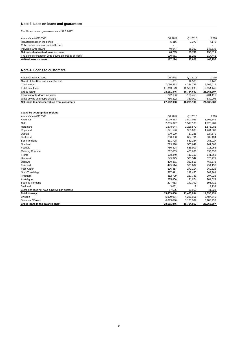## **Note 3. Loss on loans and guarantees**

The Group has no guarantees as at 31.3.2017.

| Write-downs on loans                                  | 177.224                  | 95,027  | 468.257 |
|-------------------------------------------------------|--------------------------|---------|---------|
| The period's change in write-downs on groups of loans | 130.961                  | 55.291  | 317.446 |
| Net individual write-downs on loans                   | 46.263                   | 39,736  | 150.811 |
| Individual write-downs                                | 40.947                   | 38,359  | 143,635 |
| Collected on previous realized losses                 | $\overline{\phantom{0}}$ | -       |         |
| Realized losses in the period                         | 5,316                    | 1,377   | 7,176   |
| Amounts in NOK 1000                                   | Q1 2017                  | Q1 2016 | 2016    |

## **Note 4. Loans to customers**

| Amounts in NOK 1000                         | Q1 2017    | Q1 2016    | 2016       |
|---------------------------------------------|------------|------------|------------|
| Overdraft facilities and lines of credit    | 1,831      | 12.565     | 2.147      |
| Credit cards                                | 7,096,893  | 4,234,789  | 6,309,014  |
| Instalment loans                            | 21,063,123 | 12,507,298 | 19,054,145 |
| <b>Gross loans</b>                          | 28,161,846 | 16,754,652 | 25,365,307 |
| Individual write-downs on loans             | $-242.656$ | $-103.453$ | $-201.116$ |
| Write-downs on groups of loans              | -766.222   | $-380.009$ | $-630,208$ |
| Net loans to and receivables from customers | 27,152,968 | 16,271,190 | 24,533,983 |

## **Loans by geographical regions**

| Amounts in NOK 1000                        | Q1 2017      | Q1 2016    | 2016       |
|--------------------------------------------|--------------|------------|------------|
| Akershus                                   | 2,029,563    | 1,507,025  | 1,902,542  |
| Oslo                                       | 2,055,947    | 1,517,103  | 1,920,981  |
| Hordaland                                  | 1,678,044    | 1,226,579  | 1,575,081  |
| Rogaland                                   | 1,341,596    | 955,035    | 1,264,380  |
| Østfold                                    | 979,109      | 717,235    | 924,670    |
| <b>Buskerud</b>                            | 858,350      | 637,791    | 809,134    |
| Sør-Trøndelag                              | 811,728      | 569,254    | 756,027    |
| Nordland                                   | 793,398      | 567,649    | 741,603    |
| Vestfold                                   | 760,524      | 556,907    | 715,268    |
| Møre og Romsdal                            | 682,063      | 485,638    | 633,056    |
| Troms                                      | 578,240      | 413,113    | 541,868    |
| Hedmark                                    | 545,345      | 388,342    | 520,471    |
| Oppland                                    | 499,381      | 351,513    | 466,573    |
| Telemark                                   | 475,514      | 333,667    | 454,156    |
| Vest-Agder                                 | 396,417      | 270,114    | 360,625    |
| Nord-Trøndelag                             | 327,411      | 238,450    | 309,964    |
| Finnmark                                   | 312,709      | 227,733    | 297,023    |
| Aust-Agder                                 | 285,806      | 191,674    | 261,529    |
| Sogn og Fjordane                           | 207,913      | 149,702    | 196,711    |
| Svalbard                                   | 3,081        |            | 2,739      |
| Customer does not have a Norwegian address | 37,526       | 98,562     | 41,029     |
| <b>Total Norway</b>                        | 15,659,666   | 11,403,094 | 14,695,431 |
| Sweden                                     | 5,809,084    | 4,220,551  | 5,487,645  |
| Denmark / Finland                          | 6,693,096    | 1,131,007  | 5,182,230  |
| Gross loans in the balance sheet           | 28, 161, 846 | 16,754,652 | 25,365,307 |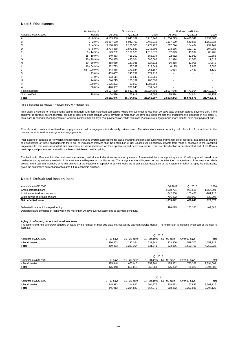### **Note 5. Risk classes**

|                     | Probability of | Gross Ioans |            |            | Undrawn credit limits |            |            |
|---------------------|----------------|-------------|------------|------------|-----------------------|------------|------------|
| Amounts in NOK 1000 | default        | Q1 2017     | Q1 2016    | 2016       | Q1 2017               | Q1 2016    | 2016       |
| A                   | $0 - 0.9 %$    | 4,159,306   | 2,641,182  | 3,716,949  | 21,334,273            | 14,490,349 | 19,692,083 |
| В                   | $1 - 2,9%$     | 10,887,550  | 6,041,707  | 9,468,018  | 1,137,509             | 549,598    | 1,153,334  |
| С                   | $3 - 4.9%$     | 3,500,329   | 2,126,365  | 3,279,727  | 212,224               | 184,494    | 237,141    |
| D                   | $5 - 8,9%$     | 2,734,858   | 1,872,883  | 2,743,303  | 173,566               | 162,717    | 194,285    |
| E                   | $9 - 14,9%$    | 1,573,762   | 1,139,570  | 1,616,677  | 82,023                | 45,997     | 83,485     |
| F                   | 15 - 19,9 %    | 549,853     | 416,109    | 555,334    | 22,952                | 12,960     | 19,886     |
| G                   | 20 - 29,9 %    | 704,885     | 490,304    | 685,686    | 12,924                | 11,566     | 11,518     |
| H                   | $30 - 39,9%$   | 358,069     | 187,086    | 324,312    | 16,368                | 12,008     | 14,870     |
|                     | $40 - 54.9%$   | 362,793     | 197,337    | 312,044    | 4,175                 | 2,828      | 3,096      |
| J                   | 55 - 100,0 %   | 343,468     | 171,924    | 261,187    | 1,634                 | 1,437      | 1,120      |
| S                   | 23.0 %         | 459,457     | 245,731    | 371,916    |                       |            |            |
|                     | 27.0%          | 133,114     | 36,548     | 112,350    |                       |            |            |
| U                   | 74.0%          | 244,215     | 123,192    | 205,598    |                       |            |            |
| V                   | 100.0%         | 1,625,323   | 789,560    | 1,283,562  |                       |            |            |
| W                   | 100.0%         | 470,337     | 201,243    | 391,040    |                       |            |            |
| Total classified    |                | 28,107,320  | 16,680,741 | 25,327,702 | 22,997,648            | 15,473,954 | 21,410,817 |
| Not classified      | 70.8%          | 54,526      | 73,911     | 37,605     | 75,594                | 104,624    | 54,753     |
| Total               |                | 28,161,846  | 16,754,652 | 25,365,307 | 23,073,242            | 15,578,578 | 21,465,571 |

#### Risk is classified as follows:  $A =$  lowest risk,  $W =$  highest risk

### **Note 6. Default and loss on loans**

| Amounts in NOK 1000                  | Q1 2017   | Q1 2016    | 2016       |
|--------------------------------------|-----------|------------|------------|
| Gross defaulted loans                | 2,068,721 | 981,511    | 1,654,201  |
| Individual write-downs on loans      | -242,656  | $-103.453$ | $-201.116$ |
| Write-downs on groups of loans       | -766,222  | $-380,009$ | -630,208   |
| Net defaulted loans                  | 1.059.842 | 498.048    | 822,878    |
|                                      |           |            |            |
| Defaulted loans which are performing | 496,025   | 250.265    | 403,086    |
|                                      |           |            |            |

Risk class W consists of written-down engagements, and is engagements individually written down. The other risk classes, including risk class A - J, is included in the calculation for write-downs on groups of engagements.

Defaulted loans comprise of loans which are more than 90 days overdue according to payment schedule.

#### **Aging of defaulted, but not written-down loans**

Risk class S consists of engagements during treatment with debt collection companies, where the customer is less than 90 days past originally agreed payment plan. If the customer is on track on engagement, but has at least one other product where payment is more than 90 days past payment plan the engagement is classified in risk class T. Risk class U consists of engagements in warning, but less than 90 days past payment plan, while risk class V consists of engagements more than 90 days past payment plan.

|                     | Q1 2017     |              |                   |              |              |           |
|---------------------|-------------|--------------|-------------------|--------------|--------------|-----------|
| Amounts in NOK 1000 | 5 - 15 davs | 16 - 30 days | 31<br>l - 60 davs | 61 - 90 days | Over 90 davs | Total     |
| - Retail market     | 480.463     | .237,364     | 631,341           | 303,856      | .599,705     | 4,252,728 |
| <b>Total</b>        | 480,463     | .237,364     | 631,341           | 303,856      | 1,599,705    | 4,252,728 |

|                     |             | Q1 2016      |              |              |              |           |  |
|---------------------|-------------|--------------|--------------|--------------|--------------|-----------|--|
| Amounts in NOK 1000 | 5 - 15 davs | 16 - 30 days | 31 - 60 days | 61 - 90 days | Over 90 days | Total     |  |
| - Retail market     | 475.848     | 653.016      | 359.961      | 125.362      | 780.322      | 2,394,509 |  |
| <b>Total</b>        | 475.848     | 653.016      | 359.961      | 125,362      | 780.322      | 2,394,509 |  |
|                     |             |              |              |              |              |           |  |
|                     |             |              |              |              |              |           |  |

*Amounts in NOK 1000* 5 - 15 days 16 - 30 days 31 - 60 days 61 - 90 days Over 90 days Total - Retail market 445,913 1,214,820 564,275 218,282 1,263,835 3,707,125 **Total** 445,913 1,214,820 564,275 218,282 1,263,835 3,707,125 2016

"Not classified" consists of Norwegian engagements recruited through applications for sales financing and bank accounts with and without credit facilities. In a potential chance of classification of these engagements there are no indications implying that the distribution of risk classes will significantly deviate from what is observed in the classified engagements. The risks associated with customers are classified based on their application and behavioral score. This risk classification is an integrated part of the Bank's credit approval process and is used in the Bank's risk-based product pricing.

The bank only offers credit to the retail customer market, and all credit decisions are made by means of automated decision support systems. Credit is granted based on a qualitative and quantitative analysis of the customer's willingness and ability to pay. The analysis of the willingness to pay identifies the characteristics of the customer which predict future payment conduct, while the analysis of the customer's capacity to service loans are a quantitative evaluation of the customer's ability to repay his obligations, given the customer's current and anticipated future economic situation.

The table shows the overdrawn amount on loans by the number of past due days not caused by payment service delays. The entire loan is included when part of the debt is past due.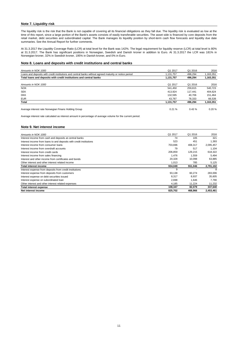## **Note 7. Liquidity risk**

## **Note 8. Loans and deposits with credit institutions and central banks**

| Amounts in NOK 1000                                                                                    | Q1 2017   | Q1 2016 | 2016      |
|--------------------------------------------------------------------------------------------------------|-----------|---------|-----------|
| Loans and deposits with credit institutions and central banks without agreed maturity or notice period | 1,131,757 | 496.294 | 1,163,351 |
| Total loans and deposits with credit institutions and central banks                                    | 1,131,757 | 496,294 | 1,163,351 |
| Amounts in NOK 1000                                                                                    | Q1 2017   | Q1 2016 | 2016      |
| <b>NOK</b>                                                                                             | 541.450   | 259.815 | 540,723   |
| <b>SEK</b>                                                                                             | 413.924   | 117.441 | 404,624   |
| <b>DKK</b>                                                                                             | 132.595   | 40.706  | 151.464   |
| <b>EUR</b>                                                                                             | 43.787    | 78,333  | 66,539    |
| <b>Total</b>                                                                                           | 1,131,757 | 496,294 | 1,163,351 |
| Average interest rate Norwegian Finans Holding Group                                                   | 0.21%     | 0.43%   | 0.20%     |

### **Note 9. Net interest income**

| Amounts in NOK 1000                                                 | Q1 2017 | Q1 2016 | 2016      |
|---------------------------------------------------------------------|---------|---------|-----------|
| Interest income from cash and deposits at central banks             | 74      | 105     | 321       |
| Interest income from loans to and deposits with credit institutions | 523     | 451     | 1,393     |
| Interest income from consumer loans                                 | 703,696 | 408,317 | 2,095,457 |
| Interest income from overdraft accounts                             | 79      | 517     | 1,104     |
| Interest income from credit cards                                   | 206,859 | 129,215 | 618,322   |
| Interest income from sales financing                                | 1,476   | 1,559   | 5,494     |
| Interest and other income from certificates and bonds               | 20,328  | 10,098  | 63,885    |
| Other interest and other interest related income                    | 1,013   | 785     | 5,125     |
| <b>Total interest income</b>                                        | 934,049 | 551,046 | 2,791,102 |
| Interest expense from deposits from credit institutions             | 9       |         | 8         |
| Interest expense from deposits from customers                       | 93,138  | 60,274  | 283,006   |
| Interest expense on debt securities issued                          | 8,317   | 8,937   | 35,605    |
| Interest expense on subordinated loan                               | 2,698   | 1,646   | 7,790     |
| Other interest and other interest related expenses                  | 4,185   | 11,224  | 11,232    |
| Total interest expense                                              | 108,347 | 82,079  | 337,640   |
| Net interest income                                                 | 825.702 | 468,966 | 2,453,461 |

The liquidity risk is the risk that the Bank is not capable of covering all its financial obligations as they fall due. The liquidity risk is evaluated as low at the time of this report, since a large portion of the Bank's assets consists of easily transferable securities. The asset side is financed by core deposits from the retail market, debt securities and subordinated capital. The Bank manages its liquidity position by short-term cash flow forecasts and liquidity due date summaries. See the Annual Report for further comments.

Average interest rate calculated as interest amount in percentage of average volume for the current period.

At 31.3.2017 the Liquidity Coverage Ratio (LCR) at total level for the Bank was 142%. The legal requirement for liquidity reserve (LCR) at total level is 80% at 31.3.2017. The Bank has significant positions in Norwegian, Swedish and Danish kroner in addition to Euro. At 31.3.2017 the LCR was 181% in Norwegian kroner, 32% in Swedish kroner, 195% in Danish kroner, and 0% in Euro.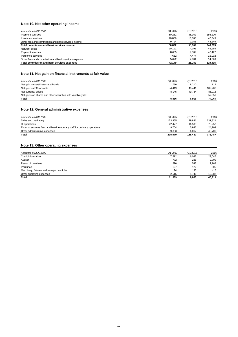# **Note 10. Net other operating income**

| Amounts in NOK 1000                                 | Q1 2017 | Q1 2016 | 2016    |
|-----------------------------------------------------|---------|---------|---------|
| Payment services                                    | 50,282  | 35.162  | 156.120 |
| Insurance services                                  | 20,886  | 13,088  | 47,343  |
| Other fees and commission and bank services income  | 9.724   | 7,351   | 43,149  |
| Total commission and bank services income           | 80.892  | 55.602  | 246,613 |
| Network costs                                       | 20.191  | 4,398   | 46.965  |
| Payment services                                    | 8.635   | 9.509   | 42.427  |
| Insurance services                                  | 7.652   | 4.474   | 16.002  |
| Other fees and commission and bank services expense | 5.672   | 2.901   | 14,020  |
| Total commission and bank services expenses         | 42.149  | 21.282  | 119,415 |

## **Note 11. Net gain on financial instruments at fair value**

| Amounts in NOK 1000                                          | Q1 2017  | Q1 2016   | 2016      |
|--------------------------------------------------------------|----------|-----------|-----------|
| Net gain on certificates and bonds                           | 1,790    | 8,210     | 112       |
| Net gain on FX-forwards                                      | $-4.419$ | 48.441    | 102,207   |
| Net currency effects                                         | 8,145    | $-49.734$ | $-85,915$ |
| Net gains on shares and other securities with variable yield |          |           | 57.659    |
| Total                                                        | 5,516    | 6,916     | 74,064    |

## **Note 12. General administrative expenses**

| Amounts in NOK 1000                                                      | Q1 2017 | Q1 2016 | 2016    |
|--------------------------------------------------------------------------|---------|---------|---------|
| Sales and marketing                                                      | 173.965 | 129,881 | 631,821 |
| IT operations                                                            | 22,477  | 16.503  | 73.257  |
| External services fees and hired temporary staff for ordinary operations | 9.704   | 5,986   | 24,703  |
| Other administrative expenses                                            | 9.833   | 6.067   | 43.706  |
| <b>Total</b>                                                             | 215.979 | 158.437 | 773.487 |

## **Note 13. Other operating expenses**

| Amounts in NOK 1000                        | Q1 2017 | Q1 2016 | 2016   |
|--------------------------------------------|---------|---------|--------|
| Credit information                         | 7,512   | 6,082   | 29,045 |
| Auditor                                    | 772     | 235     | 2,700  |
| Rental of premises                         | 570     | 543     | 2,168  |
| Insurance                                  | 127     | 122     | 505    |
| Machinery, fixtures and transport vehicles | 94      | 136     | 410    |
| Other operating expenses                   | 2,515   | 1,746   | 12,082 |
| Total                                      | 11,589  | 8,863   | 46,911 |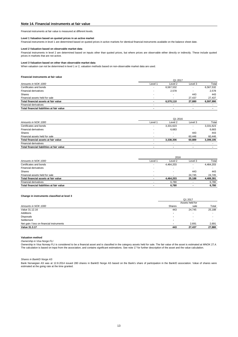### **Note 14. Financial instruments at fair value**

#### **Level 2 Valuation based on observable market data**

#### **Level 3 Valuation based on other than observable market data**

#### **Financial instruments at fair value**

|                                           | Q1 2017                  |           |                |           |  |
|-------------------------------------------|--------------------------|-----------|----------------|-----------|--|
| Amounts in NOK 1000                       | Level 1                  | Level 2   | Level 3        | Total     |  |
| Certificates and bonds                    | $\overline{\phantom{0}}$ | 6,567,532 |                | 6,567,532 |  |
| Financial derivatives                     | -                        | 2,578     |                | 2,578     |  |
| <b>Shares</b>                             | $\overline{\phantom{0}}$ |           | 443            | 443       |  |
| Financial assets held for sale            | $\overline{\phantom{0}}$ |           | 27.437         | 27,437    |  |
| Total financial assets at fair value      | $\blacksquare$           | 6,570,110 | 27,880         | 6,597,990 |  |
| <b>Financial derivatives</b>              | $\overline{\phantom{0}}$ |           |                |           |  |
| Total financial liabilities at fair value | $\blacksquare$           |           | $\blacksquare$ |           |  |

|                                           | Q1 2016                  |           |                          |           |  |
|-------------------------------------------|--------------------------|-----------|--------------------------|-----------|--|
| Amounts in NOK 1000                       | Level 1                  | Level 2   | Level 3                  | Total     |  |
| Certificates and bonds                    |                          | 3,331,623 | $\overline{\phantom{a}}$ | 3,331,623 |  |
| <b>Financial derivatives</b>              |                          | 6,683     |                          | 6,683     |  |
| <b>Shares</b>                             | . .                      |           | 443                      | 443       |  |
| Financial assets held for sale            | $\overline{\phantom{0}}$ |           | 60.446                   | 60,446    |  |
| Total financial assets at fair value      |                          | 3,338,306 | 60,889                   | 3,399,195 |  |
| <b>Financial derivatives</b>              |                          |           | $\overline{\phantom{0}}$ |           |  |
| Total financial liabilities at fair value | $\blacksquare$           | $\sim$    | $\blacksquare$           |           |  |

Ownership in Visa Norway FLI is considered to be a financial asset and is classified in the category assets held for sale. The fair value of the asset is estimated at MNOK 27,4. The calculation is based on input from the association, and contains significant estimations. See note 17 for further description of the asset and the value calculation.

|                                           |                          | 2016      |                |           |  |  |
|-------------------------------------------|--------------------------|-----------|----------------|-----------|--|--|
| Amounts in NOK 1000                       | Level 1                  | Level 2   | Level 3        | Total     |  |  |
| Certificates and bonds                    | ٠                        | 4,464,203 |                | 4,464,203 |  |  |
| <b>Financial derivatives</b>              | $\overline{\phantom{a}}$ |           |                |           |  |  |
| Shares                                    | $\overline{\phantom{0}}$ |           | 443            | 443       |  |  |
| Financial assets held for sale            | $\overline{\phantom{a}}$ |           | 24.745         | 24,745    |  |  |
| Total financial assets at fair value      | $\overline{\phantom{a}}$ | 4.464.203 | 25,188         | 4,489,391 |  |  |
| <b>Financial derivatives</b>              |                          | 6.780     |                | 6,780     |  |  |
| Total financial liabilities at fair value | $\blacksquare$           | 6,780     | $\blacksquare$ | 6.780     |  |  |

#### **Change in instruments classified at level 3**

#### **Valuation method**

*Ownership in Visa Norge FLI*

When valuation can not be determined in level 1 or 2, valuation methods based on non-observable market data are used.

Financial instruments at fair value is measured at different levels.

#### **Level 1 Valuation based on quoted prices in an active market**

|                                          | Q1 2017<br>Assets held for |                          |        |  |
|------------------------------------------|----------------------------|--------------------------|--------|--|
|                                          |                            |                          |        |  |
| Amounts in NOK 1000                      | Shares                     | sale                     | Total  |  |
| Value 31.12.16                           | 443                        | 24,745                   | 25,188 |  |
| Additions                                | $\blacksquare$             |                          |        |  |
| Disposals                                |                            |                          |        |  |
| Settlement                               | $\blacksquare$             | $\overline{\phantom{0}}$ |        |  |
| Net gain / loss on financial instruments | $\blacksquare$             | 2,691                    | 2,691  |  |
| Value 31.3.17                            | 443                        | 27,437                   | 27,880 |  |

*Shares in BankID Norge AS*

Bank Norwegian AS was at 12.8.2014 issued 280 shares in BankID Norge AS based on the Bank's share of participation in the BankID association. Value of shares were estimated at the going rate at the time granted.

Financial instruments in level 1 are determined based on quoted prices in active markets for identical financial instruments available on the balance sheet date.

Financial instruments in level 2 are determined based on inputs other than quoted prices, but where prices are observable either directly or indirectly. These include quoted prices in markets that are not active.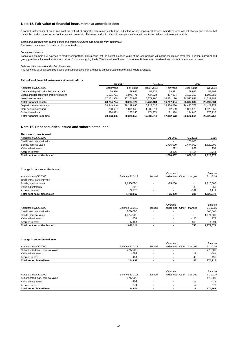### **Note 15. Fair value of financial instruments at amortized cost**

*Loans and deposits with central banks and credit institutions and deposits from customers*

#### *Loans to customers*

#### *Debt securities issued and subordinated loan*

#### **Fair value of financial instruments at amortized cost**

## **Note 16. Debt securities issued and subordinated loan**

| Total debt securities issued | 1,798,667 | 1,880,311 | 1,823,973 |
|------------------------------|-----------|-----------|-----------|
| Accrued interest             | 3.376     | 5.454     | 3,714     |
| Value adjustments            | 292       | 857       | 259       |
| Bonds, nominal value         | 1,795,000 | 1.674.000 | .820,000  |
| Certificates, nominal value  |           | 200,000   |           |
| Amounts in NOK 1000          | Q1 2017   | Q1 2016   | 2016      |
| Debt securities issued       |           |           |           |

#### **Change in debt securities issued**

### **Change in subordinated loan**

|                                             | Q1 2017    |            | Q1 2016    |            | 2016       |            |
|---------------------------------------------|------------|------------|------------|------------|------------|------------|
| Amounts in NOK 1000                         | Book value | Fair value | Book value | Fair value | Book value | Fair value |
| Cash and deposits with the central bank     | 59,986     | 59,986     | 58.971     | 58.971     | 59,992     | 59.992     |
| Loans and deposits with credit institutions | 1,071,771  | 1,071,771  | 437,324    | 437,324    | 1,103,359  | 1,103,359  |
| Loans to customers                          | 27,152,968 | 27,152,968 | 16,271,190 | 16,271,190 | 24,533,983 | 24,533,983 |
| <b>Total financial assets</b>               | 28,284,724 | 28,284,724 | 16,767,484 | 16,767,484 | 25,697,334 | 25,697,334 |
| Deposits from customers                     | 28,249,846 | 28,249,846 | 15,928,036 | 15,928,036 | 24,423,773 | 24,423,773 |
| Debt securities issued                      | 1,798,667  | 1,801,568  | 1,880,311  | 862,699. ا | 1,823,973  | 1,823,250  |
| Subordinated loan                           | 274,892    | 277.240    | 174,971    | 171,938    | 274,915    | 275,735    |
| <b>Total financial liabilities</b>          | 30,323,405 | 30,328,653 | 17,983,319 | 17,962,673 | 26,522,661 | 26,522,758 |

|                              |                 |                          | Overdue /                |                          | Balance   |
|------------------------------|-----------------|--------------------------|--------------------------|--------------------------|-----------|
| Amounts in NOK 1000          | Balance 31.3.16 | <b>Issued</b>            | Other<br>redeemed        | changes                  | 31.12.15  |
| Certificates, nominal value  | 200,000         | -                        |                          |                          | 200,000   |
| Bonds, nominal value         | 1,674,000       |                          |                          | $\overline{\phantom{0}}$ | 1,674,000 |
| Value adjustments            | 857             | $\overline{\phantom{0}}$ |                          | $-120$                   | 977       |
| Accrued interest             | 5.454           | $\overline{\phantom{a}}$ | $\overline{\phantom{0}}$ | 860                      | 4.594     |
| Total debt securities issued | .880.311        |                          | $\blacksquare$           | 740                      | 1,879,571 |

| ^≏crued intereo⊾                        | $\sim$<br>ັບ                     |  | $\overline{\phantom{a}}$<br>- 41<br>$\sim$ | 496                 |
|-----------------------------------------|----------------------------------|--|--------------------------------------------|---------------------|
| $ -$<br>Tota.<br>loan<br>' subordinated | 274.802<br>$\sim$<br>7.V.<br>- - |  | ົ<br>-∠ఎ                                   | 0.1E<br>$\sim$<br>. |

|                              |                        |               | Overdue /         |         | Balance   |
|------------------------------|------------------------|---------------|-------------------|---------|-----------|
| Amounts in NOK 1000          | <b>Balance 31.3.17</b> | <b>Issued</b> | Other<br>redeemed | changes | 31.12.16  |
| Certificates, nominal value  |                        |               |                   |         |           |
| Bonds, nominal value         | 1,795,000              |               | $-25,000$         |         | ,820,000  |
| Value adjustments            | 292                    |               |                   | 33      | 259       |
| Accrued interest             | 3,376                  |               |                   | $-339$  | 3,714     |
| Total debt securities issued | .798,667               |               | $-25.000$         | $-306$  | 1,823,973 |

|                                  |                        |        | Overdue <sub>/</sub> |                  | Balance  |
|----------------------------------|------------------------|--------|----------------------|------------------|----------|
| Amounts in NOK 1000              | <b>Balance 31.3.17</b> | Issued | redeemed             | Other<br>changes | 31.12.16 |
| Subordinated Ioan, nominal value | 275,000                |        | -                    |                  | 275,000  |
| Value adiustments                | -562                   |        |                      | 19               | $-581$   |

|                                  |                 |               | Overdue           |         | <b>Balance</b> |
|----------------------------------|-----------------|---------------|-------------------|---------|----------------|
| Amounts in NOK 1000              | Balance 31.3.16 | <b>Issuec</b> | Other<br>redeemed | changes | 31.12.15       |
| Subordinated Ioan, nominal value | 175,000         |               |                   |         | 175,000        |
| Value adjustments                | -403            |               |                   | 13      | -416           |
| Accrued interest                 | 374             | -             |                   | -4      | 378            |
| <b>Total subordinated loan</b>   | 174.971         |               | $\sim$            |         | 174.962        |

Financial instruments at amortized cost are valued at originally determined cash flows, adjusted for any impairment losses. Amortized cost will not always give values that match the market's assessment of the same instruments. This may be due to different perceptions of market conditions, risk and return requirements.

Fair value is estimated to conform with amortized cost.

Loans to customers are exposed to market competition. This means that the potential added value of the loan portfolio will not be maintained over time. Further, individual and group provisions for loan losses are provided for on an ongoing basis. The fair value of loans to customers is therefore considered to conform to the amortized cost.

The fair value of debt securities issued and subordinated loan are based on observable market data where available.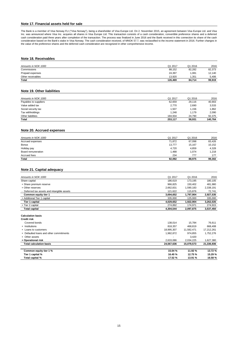## **Note 17. Financial assets held for sale**

## **Note 18. Receivables**

| Amounts in NOK 1000 | Q1 2017 | Q1 2016 | 2016   |
|---------------------|---------|---------|--------|
| Commissions         | 88,152  | 82,282  | 82,373 |
| Prepaid expenses    | 24,397  | .081    | 12,140 |
| Other receivables   | 13.920  | .351    | 5.406  |
| <b>Total</b>        | 126,469 | 84,714  | 99,919 |

## **Note 19. Other liabilities**

| Amounts in NOK 1000   | Q1 2017 | Q1 2016 | 2016    |
|-----------------------|---------|---------|---------|
| Payables to suppliers | 62,659  | 29,116  | 40,903  |
| Value added tax       | 2,770   | 2,690   | 3,533   |
| Social security tax   | 1,507   | 1,156   | 1,862   |
| Tax withholdings      | 1,248   | 1,179   | 2,090   |
| Other liabilities     | 184,934 | 24,790  | 92,375  |
| <b>Total</b>          | 253,117 | 58,931  | 140,764 |

## **Note 20. Accrued expenses**

| Amounts in NOK 1000 | Q1 2017 | Q1 2016 | 2016   |
|---------------------|---------|---------|--------|
| Accrued expenses    | 71,872  | 67,098  | 83,426 |
| <b>Bonus</b>        | 13,777  | 15,167  | 10,152 |
| Holiday pay         | 4,720   | 4,859   | 4,328  |
| Board remuneration  | 1,488   | 1,074   | 1,218  |
| Accrued fees        | 234     | 777     | 177    |
| <b>Total</b>        | 92,092  | 88,975  | 99,302 |

## **Note 21. Capital adequacy**

| Amounts in NOK 1000                         | Q1 2017   | Q1 2016   | 2016      |
|---------------------------------------------|-----------|-----------|-----------|
| Share capital                               | 186.619   | 173.195   | 180,105   |
| + Share premium reserve                     | 966,825   | 150,402   | 481,980   |
| + Other reserves                            | 2,662,831 | 1,590,183 | 2,338,191 |
| - Deferred tax assets and intangible assets | 121,622   | 115,876   | 72,741    |
| <b>Common equity tier 1</b>                 | 3,694,652 | 1,797,904 | 2,927,535 |
| + Additional Tier 1 capital                 | 335,000   | 125,000   | 335,000   |
| Tier 1 capital                              | 4,029,652 | 1,922,904 | 3,262,535 |
| + Tier 2 capital                            | 274,892   | 174,971   | 274,915   |
| <b>Total capital</b>                        | 4,304,544 | 2,097,875 | 3,537,450 |
|                                             |           |           |           |
| <b>Calculation basis</b>                    |           |           |           |
| <b>Credit risk</b>                          |           |           |           |

| Covered bonds                           | 138,014                  | 15.784     | 76,611     |
|-----------------------------------------|--------------------------|------------|------------|
| + Institutions                          | 818.357                  | 468.819    | 668,408    |
| + Loans to customers                    | 18,995,307               | 11,582,471 | 17,212,261 |
| + Defaulted loans and other commitments | 1,982,872                | 974,855    | 1,752,276  |
| + Other assets                          | $\overline{\phantom{0}}$ | 3.420      |            |
| + Operational risk                      | 2,633,086                | 2,034,225  | 1,627,380  |
| Total calculation basis                 | 24,567,636               | 15,079,573 | 21,336,936 |
| Common equity tier 1 %                  | 15.04 %                  | 11.92 %    | 13.72 %    |
| Tier 1 capital %                        | 16.40 %                  | 12.75%     | 15.29 %    |

| Total capital % | 17.52 % | 12 01 O/<br>7٥<br>ו ט.טו | 16.58% |
|-----------------|---------|--------------------------|--------|
|                 |         |                          |        |

The Bank is a member of Visa Norway FLI ("Visa Norway"), being a shareholder of Visa Europe Ltd. On 2. November 2015, an agreement between Visa Europe Ltd. and Visa Inc. was announced where Visa Inc. acquires all shares in Visa Europe Ltd. This transaction consists of a cash consideration, convertible preference shares and a deferred cash consideration paid three years after completion of the transaction. The process was finalized in June 2016 and the Bank received in this connection its share of the cash consideration based on the Bank's stake in Visa Norway. The cash consideration received, of MNOK 57.7, was reclassified to the income statement in 2016. Further changes in the value of the preference shares and the deferred cash consideration are recognized in other comprehensive income.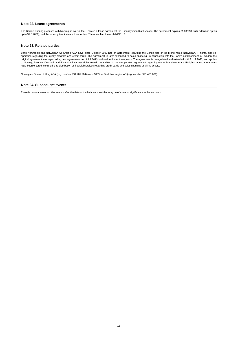### **Note 23. Related parties**

### **Note 24. Subsequent events**

Norwegian Finans Holding ASA (org. number 991 281 924) owns 100% of Bank Norwegian AS (org. number 991 455 671).

There is no awareness of other events after the date of the balance sheet that may be of material significance to the accounts.

## **Note 22. Lease agreements**

The Bank is sharing premises with Norwegian Air Shuttle. There is a lease agreement for Oksenøyveien 3 at Lysaker. The agreement expires 31.3.2018 (with extension option up to 31.3.2020), and the tenancy terminates without notice. The annual rent totals MNOK 1.9.

Bank Norwegian and Norwegian Air Shuttle ASA have since October 2007 had an agreement regarding the Bank's use of the brand name Norwegian, IP-rights, and cooperation regarding the loyalty program and credit cards. The agreement is later expanded to sales financing. In connection with the Bank's establishment in Sweden, the original agreement was replaced by new agreements as of 1.1.2013, with a duration of three years. The agreement is renegotiated and extended until 31.12.2020, and applies to Norway, Sweden, Denmark and Finland. All accrued rights remain. In addition to the co-operation agreement regarding use of brand name and IP-rights, agent agreements have been entered into relating to distribution of financial services regarding credit cards and sales financing of airline tickets.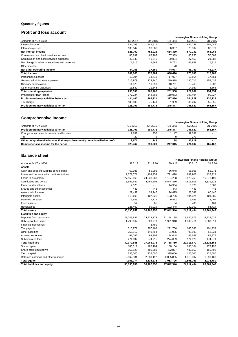# **Quarterly figures**

# **Profit and loss account**

|                                                |         |          | <b>Norwegian Finans Holding Group</b> |         |         |
|------------------------------------------------|---------|----------|---------------------------------------|---------|---------|
| Amounts in NOK 1000                            | Q1 2017 | Q4 2016  | Q3 2016                               | Q2 2016 | Q1 2016 |
| Interest income                                | 934,049 | 846,611  | 740,707                               | 652,738 | 551,046 |
| Interest expenses                              | 108,347 | 93,686   | 86,367                                | 75,507  | 82,079  |
| Net interest income                            | 825,702 | 752,925  | 654,339                               | 577,231 | 468,966 |
| Commission and bank services income            | 80,892  | 62,767   | 67,989                                | 60,255  | 55,602  |
| Commission and bank services expenses          | 42,149  | 40,846   | 29,834                                | 27,453  | 21,282  |
| Net change in value on securities and currency | 5,516   | $-4,562$ | 5,752                                 | 65,958  | 6,916   |
| Other income                                   |         |          | 170                                   |         |         |
| Net other operating income                     | 44,258  | 17,359   | 44,077                                | 98,759  | 41,237  |
| <b>Total income</b>                            | 869,960 | 770,284  | 698,416                               | 675,990 | 510,203 |
| Personnel expenses                             | 19,394  | 14,713   | 17,977                                | 15,564  | 17,751  |
| General administrative expenses                | 215,979 | 223,340  | 210,998                               | 180,711 | 158,437 |
| Ordinary depreciation                          | 11,375  | 11,299   | 10,761                                | 10,465  | 9,902   |
| Other operating expenses                       | 11,589  | 11,348   | 11,772                                | 14,927  | 8,863   |
| <b>Total operating expenses</b>                | 258,336 | 260,700  | 251,508                               | 221,667 | 194,954 |
| Provision for loan losses                      | 177,224 | 144,663  | 119,073                               | 109,494 | 95,027  |
| Profit on ordinary activities before tax       | 434,400 | 364,921  | 327,836                               | 344,829 | 220,222 |
| Tax charge                                     | 108,609 | 75,149   | 81,959                                | 86,207  | 55,055  |
| Profit on ordinary activities after tax        | 325,791 | 289,772  | 245,877                               | 258,622 | 165,167 |

# **Comprehensive income**

# **Balance sheet**

|                                                                            |         |         | Norwegian Finans Holding Group |                     |         |
|----------------------------------------------------------------------------|---------|---------|--------------------------------|---------------------|---------|
| Amounts in NOK 1000                                                        | Q1 2017 | Q4 2016 | Q3 2016                        | Q <sub>2</sub> 2016 | Q1 2016 |
| Profit on ordinary activities after tax                                    | 325.791 | 289.772 | 245.877                        | 258.622             | 165,167 |
| Change in fair value for assets held for sale                              | 2,691   | 250     | 1,147                          | $-37,097$           |         |
| Tax                                                                        | $-20$   |         | -9                             | 278                 |         |
| Other comprehensive income that may subsequently be reclassified to profit | 2.671   | 248     | 1.138                          | $-36.819$           |         |
| Comprehensive income for the period                                        | 328,462 | 290.020 | 247.015                        | 221.802             | 165,167 |

|                                             | <b>Norwegian Finans Holding Group</b> |            |            |            |            |
|---------------------------------------------|---------------------------------------|------------|------------|------------|------------|
| Amounts in NOK 1000                         | 31.3.17                               | 31.12.16   | 30.9.16    | 30.6.16    | 31.3.16    |
| <b>Assets</b>                               |                                       |            |            |            |            |
| Cash and deposits with the central bank     | 59,986                                | 59,992     | 56,948     | 56,958     | 58,971     |
| Loans and deposits with credit institutions | 1,071,771                             | 1,103,359  | 791,698    | 882,907    | 437,324    |
| Loans to customers                          | 27,152,968                            | 24,533,983 | 21,194,238 | 18,578,755 | 16,271,190 |
| Certificates and bonds                      | 6,567,532                             | 4,464,203  | 5,544,250  | 4,816,506  | 3,331,623  |
| <b>Financial derivatives</b>                | 2,578                                 |            | 14,364     | 6,775      | 6,683      |
| Shares and other securities                 | 443                                   | 443        | 443        | 443        | 443        |
| Assets held for sale                        | 27,437                                | 24,745     | 24,495     | 23,348     | 60,446     |
| Intangible assets                           | 113,698                               | 107,826    | 103,706    | 104,374    | 101,685    |
| Deferred tax asset                          | 7,925                                 | 7,717      | 9,872      | 9,665      | 8,404      |
| <b>Fixed assets</b>                         | 54                                    | 65         | 84         | 400        | 461        |
| Receivables                                 | 126,469                               | 99,919     | 102,448    | 137,302    | 84,714     |
| <b>Total assets</b>                         | 35,130,859                            | 30,402,252 | 27,842,546 | 24,617,434 | 20,361,943 |
| <b>Liabilities and equity</b>               |                                       |            |            |            |            |
| Deposits from customers                     | 28,249,846                            | 24,423,773 | 22,154,135 | 19,640,676 | 15,928,036 |
| Debt securities issued                      | 1,798,667                             | 1,823,973  | 1,991,948  | 1,906,711  | 1,880,311  |
| <b>Financial derivatives</b>                |                                       | 6,780      |            |            |            |
| Tax payable                                 | 310,971                               | 297,468    | 221,766    | 140,088    | 191,939    |
| Other liabilities                           | 253,117                               | 140,764    | 51,995     | 90,599     | 58,931     |
| Accrued expenses                            | 92,092                                | 99,302     | 94,048     | 65,668     | 88,975     |
| Subordinated Ioan                           | 274,892                               | 274,915    | 274,859    | 174,929    | 174,971    |
| <b>Total liabilities</b>                    | 30,979,585                            | 27,066,976 | 24,788,750 | 22,018,672 | 18,323,163 |
| Share capital                               | 186,619                               | 180,104    | 180,104    | 180,104    | 173,195    |
| Share premium reserve                       | 966,825                               | 481,980    | 482,827    | 482,852    | 150,402    |
| Tier 1 capital                              | 335,000                               | 335,000    | 335,000    | 125,000    | 125,000    |
| Retained earnings and other reserves        | 2,662,831                             | 2,338,192  | 2,055,865  | 1,810,807  | 1,590,183  |
| <b>Total equity</b>                         | 4, 151, 274                           | 3,335,276  | 3,053,796  | 2,598,763  | 2,038,780  |
| <b>Total liabilities and equity</b>         | 35,130,859                            | 30,402,252 | 27,842,546 | 24,617,434 | 20,361,943 |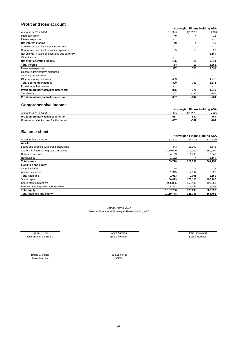# **Profit and loss account**

#### **Norwegian Finans Holding ASA**

| Amounts in NOK 1000                            | Q1 2017 | Q1 2016 | 2016     |
|------------------------------------------------|---------|---------|----------|
| Interest income                                | 40      | 4       | 15       |
| Interest expenses                              |         |         | ۰        |
| Net interest income                            | 40      | 4       | 15       |
| Commission and bank services income            |         |         |          |
| Commission and bank services expenses          | 105     | 18      | 323      |
| Net change in value on securities and currency |         |         | 6,164    |
| Other income                                   |         |         |          |
| Net other operating income                     | $-105$  | $-18$   | 5,841    |
| <b>Total income</b>                            | -64     | $-13$   | 5,856    |
| Personnel expenses                             | 317     | 763     | 2,099    |
| General administrative expenses                |         |         |          |
| Ordinary depreciation                          |         |         |          |
| Other operating expenses                       | 483     |         | 4,775    |
| <b>Total operating expenses</b>                | 800     | 763     | 6,875    |
| Provision for loan losses                      |         |         |          |
| Profit on ordinary activities before tax       | $-865$  | $-776$  | $-1,019$ |
| Tax charge                                     | $-207$  | $-194$  | $-255$   |
| Profit on ordinary activities after tax        | $-657$  | $-582$  | -764     |

# **Comprehensive income**

|                                         |         | <b>Norwegian Finans Holding ASA</b> |      |
|-----------------------------------------|---------|-------------------------------------|------|
| Amounts in NOK 1000                     | Q1 2017 | 2016                                | 2016 |
| Profit on ordinary activities after tax | $-657$  | $-582$                              | -764 |
| Comprehensive income for the period     | -657    | $-582$                              | -764 |

## **Balance sheet**

|                                             |           | Norwegian Finans Holding ASA |          |
|---------------------------------------------|-----------|------------------------------|----------|
| Amounts in NOK 1000                         | 31.3.17   | 31.3.16                      | 31.12.16 |
| <b>Assets</b>                               |           |                              |          |
| Loans and deposits with credit institutions | 4,443     | 16,997                       | 8,643    |
| Ownership interests in group companies      | 1,150,000 | 310,000                      | 650,000  |
| Deferred tax asset                          | 4,153     | 1,735                        | 3,946    |
| Receivables                                 | 1,182     | 4                            | 6,164    |
| <b>Total assets</b>                         | 1,159,778 | 328,736                      | 668,752  |
| <b>Liabilities and equity</b>               |           |                              |          |
| Other liabilities                           | 38        | 6                            | 32       |
| Accrued expenses                            | 1,945     | 2,092                        | 1,627    |
| <b>Total liabilities</b>                    | 1,983     | 2,098                        | 1,659    |
| Share capital                               | 186,619   | 173,195                      | 180,105  |
| Share premium reserve                       | 966,825   | 150,402                      | 481,980  |
| Retained earnings and other reserves        | 4,352     | 3,041                        | 5,008    |
| <b>Total equity</b>                         | 1,157,796 | 326,638                      | 667,093  |
| <b>Total liabilities and equity</b>         | 1,159,778 | 328,736                      | 668,752  |

Bærum, May 3, 2017 Board of Directors of Norwegian Finans Holding ASA

Bjørn H. Kise **Grade Anita Aarnæs** Anita Aarnæs Anita Aarnæs Anita Aarnæs Anita Aarnæs Anita Aarnæs Anita Aarnæs Anita Aarnæs Anita Aarnæs Anita Aarnæs Anita Aarnæs Anita Aarnæs Anita Aarnæs Anita Aarnæs Anita Aarnæs Anita Chairman of the Board Nember Board Member Board Member Board Member Board Member Board Member